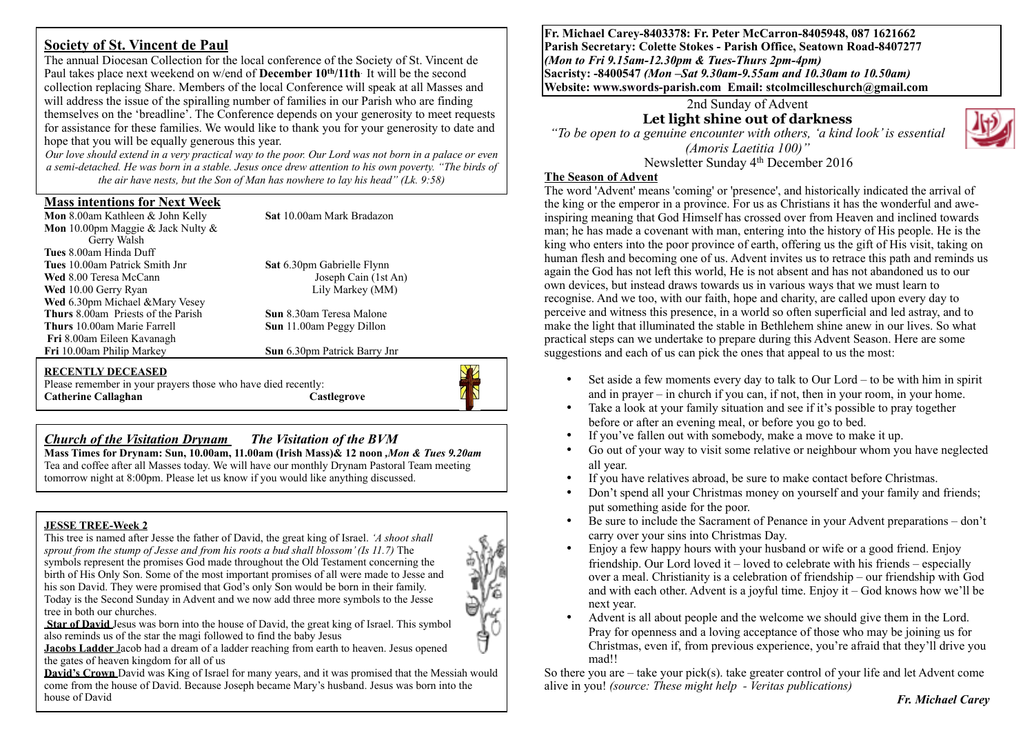# **Society of St. Vincent de Paul**

The annual Diocesan Collection for the local conference of the Society of St. Vincent de Paul takes place next weekend on w/end of **December 10th/11th**. It will be the second collection replacing Share. Members of the local Conference will speak at all Masses and will address the issue of the spiralling number of families in our Parish who are finding themselves on the 'breadline'. The Conference depends on your generosity to meet requests for assistance for these families. We would like to thank you for your generosity to date and hope that you will be equally generous this year.

*Our love should extend in a very practical way to the poor. Our Lord was not born in a palace or even a semi-detached. He was born in a stable. Jesus once drew attention to his own poverty. "The birds of the air have nests, but the Son of Man has nowhere to lay his head" (Lk. 9:58)*

## **Mass intentions for Next Week**

**Mon** 8.00am Kathleen & John Kelly **Sat** 10.00am Mark Bradazon **Mon** 10.00pm Maggie & Jack Nulty & Gerry Walsh **Tues** 8.00am Hinda Duff **Tues** 10.00am Patrick Smith Jnr **Sat** 6.30pm Gabrielle Flynn<br> **Wed** 8.00 Teresa McCann<br> **Sat** 6.30pm Gabrielle Flynn<br>
Joseph Cain (1st An) **Wed** 8.00 Teresa McCann Joseph Cain (1st An Ved 10.00 Gerry Ryan Joseph Cain (1st An Ved 10.00 Gerry Ryan **Wed** 10.00 Gerry Ryan **Wed** 6.30pm Michael &Mary Vesey **Thurs** 8.00am Priests of the Parish **Sun** 8.30am Teresa Malone **Thurs** 10.00am Marie Farrell **Sun** 11.00am Peggy Dillon **Fri** 8.00am Eileen Kavanagh

**Sun** 6.30pm Patrick Barry Jnr

#### **RECENTLY DECEASED**

Please remember in your prayers those who have died recently: **Catherine Callaghan Castlegrove** 



# *Church of the Visitation Drynam**The Visitation of the BVM*

**Mass Times for Drynam: Sun, 10.00am, 11.00am (Irish Mass)& 12 noon** *,Mon & Tues 9.20am*  Tea and coffee after all Masses today. We will have our monthly Drynam Pastoral Team meeting tomorrow night at 8:00pm. Please let us know if you would like anything discussed.

## **JESSE TREE-Week 2**

This tree is named after Jesse the father of David, the great king of Israel. *'A shoot shall sprout from the stump of Jesse and from his roots a bud shall blossom' (Is 11.7)* The symbols represent the promises God made throughout the Old Testament concerning the birth of His Only Son. Some of the most important promises of all were made to Jesse and his son David. They were promised that God's only Son would be born in their family. Today is the Second Sunday in Advent and we now add three more symbols to the Jesse tree in both our churches.



**Star of David** Jesus was born into the house of David, the great king of Israel. This symbol also reminds us of the star the magi followed to find the baby Jesus

**Jacobs Ladder** Jacob had a dream of a ladder reaching from earth to heaven. Jesus opened the gates of heaven kingdom for all of us

**David's Crown** David was King of Israel for many years, and it was promised that the Messiah would come from the house of David. Because Joseph became Mary's husband. Jesus was born into the house of David

**Fr. Michael Carey-8403378: Fr. Peter McCarron-8405948, 087 1621662 Parish Secretary: Colette Stokes - Parish Office, Seatown Road-8407277**  *(Mon to Fri 9.15am-12.30pm & Tues-Thurs 2pm-4pm)*  **Sacristy: -8400547** *(Mon –Sat 9.30am-9.55am and 10.30am to 10.50am)* **Website: [www.swords-parish.com Email:](http://www.swords-parish.com%20%20email) stcolmcilleschurch@gmail.com**

### 2nd Sunday of Advent **Let light shine out of darkness**

*"To be open to a genuine encounter with others, 'a kind look' is essential (Amoris Laetitia 100)"*  Newsletter Sunday 4th December 2016

## **The Season of Advent**

The word 'Advent' means 'coming' or 'presence', and historically indicated the arrival of the king or the emperor in a province. For us as Christians it has the wonderful and aweinspiring meaning that God Himself has crossed over from Heaven and inclined towards man; he has made a covenant with man, entering into the history of His people. He is the king who enters into the poor province of earth, offering us the gift of His visit, taking on human flesh and becoming one of us. Advent invites us to retrace this path and reminds us again the God has not left this world, He is not absent and has not abandoned us to our own devices, but instead draws towards us in various ways that we must learn to recognise. And we too, with our faith, hope and charity, are called upon every day to perceive and witness this presence, in a world so often superficial and led astray, and to make the light that illuminated the stable in Bethlehem shine anew in our lives. So what practical steps can we undertake to prepare during this Advent Season. Here are some suggestions and each of us can pick the ones that appeal to us the most:

- Set aside a few moments every day to talk to Our Lord to be with him in spirit and in prayer – in church if you can, if not, then in your room, in your home.
- Take a look at your family situation and see if it's possible to pray together before or after an evening meal, or before you go to bed.
- If you've fallen out with somebody, make a move to make it up.
- Go out of your way to visit some relative or neighbour whom you have neglected all year.
- If you have relatives abroad, be sure to make contact before Christmas.
- Don't spend all your Christmas money on yourself and your family and friends; put something aside for the poor.
- Be sure to include the Sacrament of Penance in your Advent preparations don't carry over your sins into Christmas Day.
- Enjoy a few happy hours with your husband or wife or a good friend. Enjoy friendship. Our Lord loved it – loved to celebrate with his friends – especially over a meal. Christianity is a celebration of friendship – our friendship with God and with each other. Advent is a joyful time. Enjoy it – God knows how we'll be next year.
- Advent is all about people and the welcome we should give them in the Lord. Pray for openness and a loving acceptance of those who may be joining us for Christmas, even if, from previous experience, you're afraid that they'll drive you mad!!

So there you are  $-$  take your pick(s), take greater control of your life and let Advent come alive in you! *(source: These might help - Veritas publications)*